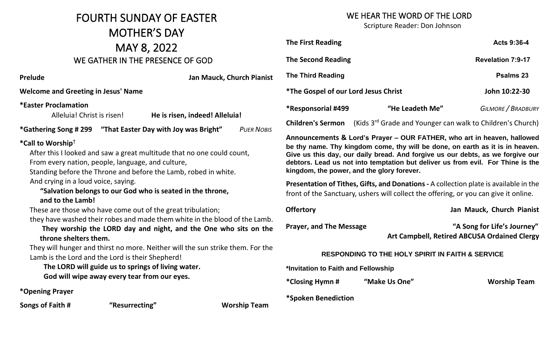## FOURTH SUNDAY OF EASTER MOTHER'S DAY MAY 8, 2022 WE GATHER IN THE PRESENCE OF

#### WE HEAR THE WORD OF THE LORD

Scripture Reader: Don Johnson

|                                                     | Scripture iteauch. Don sonnsoni                                                                                                                                                                                                                                                                                                                                                           |                                                                        |                                                                             |
|-----------------------------------------------------|-------------------------------------------------------------------------------------------------------------------------------------------------------------------------------------------------------------------------------------------------------------------------------------------------------------------------------------------------------------------------------------------|------------------------------------------------------------------------|-----------------------------------------------------------------------------|
|                                                     | <b>The First Reading</b>                                                                                                                                                                                                                                                                                                                                                                  |                                                                        | Acts 9:36-4                                                                 |
| GOD                                                 | <b>The Second Reading</b>                                                                                                                                                                                                                                                                                                                                                                 |                                                                        | <b>Revelation 7:9-17</b>                                                    |
| an Mauck, Church Pianist                            | <b>The Third Reading</b>                                                                                                                                                                                                                                                                                                                                                                  |                                                                        | Psalms 23                                                                   |
|                                                     | <i><b>*The Gospel of our Lord Jesus Christ</b></i>                                                                                                                                                                                                                                                                                                                                        |                                                                        | John 10:22-30                                                               |
| deed! Alleluia!                                     | *Responsorial #499                                                                                                                                                                                                                                                                                                                                                                        | "He Leadeth Me"                                                        | <b>GILMORE / BRADBURY</b>                                                   |
| s Bright"<br><b>PUER NOBIS</b>                      | <b>Children's Sermon</b>                                                                                                                                                                                                                                                                                                                                                                  | (Kids 3 <sup>rd</sup> Grade and Younger can walk to Children's Church) |                                                                             |
| one could count,<br>bed in white.                   | be thy name. Thy kingdom come, thy will be done, on earth as it is in heaven.<br>Give us this day, our daily bread. And forgive us our debts, as we forgive our<br>debtors. Lead us not into temptation but deliver us from evil. For Thine is the<br>kingdom, the power, and the glory forever.<br>Presentation of Tithes, Gifts, and Donations - A collection plate is available in the |                                                                        |                                                                             |
| the throne,                                         | front of the Sanctuary, ushers will collect the offering, or you can give it online.                                                                                                                                                                                                                                                                                                      |                                                                        |                                                                             |
| oulation;                                           | <b>Offertory</b>                                                                                                                                                                                                                                                                                                                                                                          |                                                                        | Jan Mauck, Church Pianist                                                   |
| in the blood of the Lamb.<br>he One who sits on the | <b>Prayer, and The Message</b>                                                                                                                                                                                                                                                                                                                                                            |                                                                        | "A Song for Life's Journey"<br>Art Campbell, Retired ABCUSA Ordained Clergy |
| e sun strike them. For the                          | <b>RESPONDING TO THE HOLY SPIRIT IN FAITH &amp; SERVICE</b>                                                                                                                                                                                                                                                                                                                               |                                                                        |                                                                             |
| €r.                                                 | *Invitation to Faith and Fellowship                                                                                                                                                                                                                                                                                                                                                       |                                                                        |                                                                             |
|                                                     | *Closing Hymn #                                                                                                                                                                                                                                                                                                                                                                           | "Make Us One"                                                          | <b>Worship Team</b>                                                         |
|                                                     |                                                                                                                                                                                                                                                                                                                                                                                           |                                                                        |                                                                             |

**Prelude Jan Mauck, Church Pianist** 

**Welcome and Greeting in Jesus' Name** 

**\*Easter Proclamation**

Alleluia! Christ is risen! **He is risen, in** 

**\*Gathering Song #299**  "That Easter Day with Joy wa

#### **\*Call to Worship**†

After this I looked and saw a great multitude that no

From every nation, people, language, and culture,

Standing before the Throne and before the Lamb, ro And crying in a loud voice, saying.

#### *"Salvation belongs to our God who is seated in t* **and to the Lamb!**

These are those who have come out of the great tribulations

they have washed their robes and made them white

They worship the LORD day and night, and the **throne shelters them.**

They will hunger and thirst no more. Neither will the Lamb is the Lord and the Lord is their Shepherd!

The LORD will guide us to springs of living wate  **God will wipe away every tear from our eyes.**

**\*Opening Prayer**

**Songs of Faith # "Resurrecting" Worship Team**

**\*Spoken Benediction**